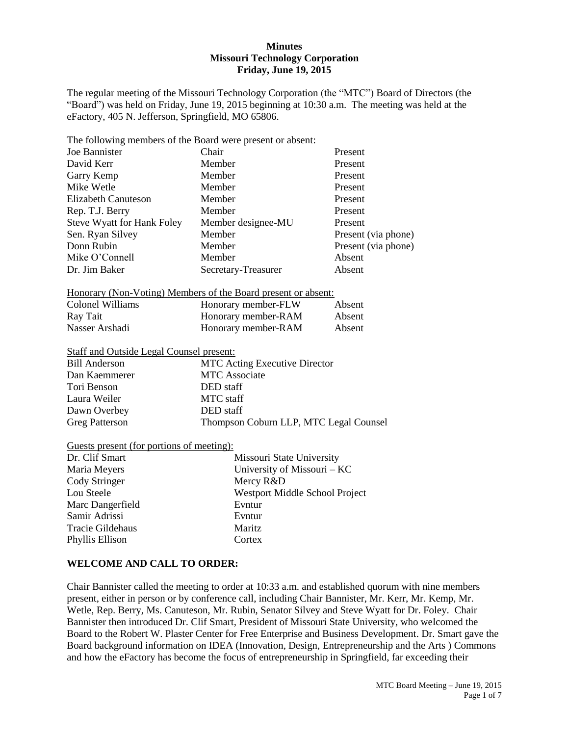#### **Minutes Missouri Technology Corporation Friday, June 19, 2015**

The regular meeting of the Missouri Technology Corporation (the "MTC") Board of Directors (the "Board") was held on Friday, June 19, 2015 beginning at 10:30 a.m. The meeting was held at the eFactory, 405 N. Jefferson, Springfield, MO 65806.

| The following members of the Board were present or absent:    |                                        |                     |  |
|---------------------------------------------------------------|----------------------------------------|---------------------|--|
| <b>Joe Bannister</b>                                          | Chair                                  | Present             |  |
| David Kerr                                                    | Member                                 | Present             |  |
| Garry Kemp                                                    | Member                                 | Present             |  |
| Mike Wetle                                                    | Member                                 | Present             |  |
| <b>Elizabeth Canuteson</b>                                    | Member                                 | Present             |  |
| Rep. T.J. Berry                                               | Member                                 | Present             |  |
| <b>Steve Wyatt for Hank Foley</b>                             | Member designee-MU                     | Present             |  |
| Sen. Ryan Silvey                                              | Member                                 | Present (via phone) |  |
| Donn Rubin                                                    | Member                                 | Present (via phone) |  |
| Mike O'Connell                                                | Member                                 | Absent              |  |
| Dr. Jim Baker                                                 | Secretary-Treasurer                    | Absent              |  |
| Honorary (Non-Voting) Members of the Board present or absent: |                                        |                     |  |
| <b>Colonel Williams</b>                                       | Honorary member-FLW                    | Absent              |  |
| Ray Tait                                                      | Honorary member-RAM                    | Absent              |  |
| Nasser Arshadi                                                | Honorary member-RAM                    | Absent              |  |
| <b>Staff and Outside Legal Counsel present:</b>               |                                        |                     |  |
| <b>Bill Anderson</b>                                          | MTC Acting Executive Director          |                     |  |
| Dan Kaemmerer                                                 | <b>MTC</b> Associate                   |                     |  |
| Tori Benson                                                   | DED staff                              |                     |  |
| Laura Weiler                                                  | <b>MTC</b> staff                       |                     |  |
| Dawn Overbey                                                  | DED staff                              |                     |  |
| <b>Greg Patterson</b>                                         | Thompson Coburn LLP, MTC Legal Counsel |                     |  |
| Guests present (for portions of meeting):                     |                                        |                     |  |
| Dr. Clif Smart                                                | Missouri State University              |                     |  |
| Maria Meyers                                                  | University of Missouri - KC            |                     |  |
| Cody Stringer                                                 | Mercy R&D                              |                     |  |
| Lou Steele                                                    | Westport Middle School Project         |                     |  |
| Marc Dangerfield                                              | Evntur                                 |                     |  |
| Samir Adrissi                                                 | Evntur                                 |                     |  |
| Tracie Gildehaus                                              | Maritz                                 |                     |  |

### **WELCOME AND CALL TO ORDER:**

Phyllis Ellison Cortex

Chair Bannister called the meeting to order at 10:33 a.m. and established quorum with nine members present, either in person or by conference call, including Chair Bannister, Mr. Kerr, Mr. Kemp, Mr. Wetle, Rep. Berry, Ms. Canuteson, Mr. Rubin, Senator Silvey and Steve Wyatt for Dr. Foley. Chair Bannister then introduced Dr. Clif Smart, President of Missouri State University, who welcomed the Board to the Robert W. Plaster Center for Free Enterprise and Business Development. Dr. Smart gave the Board background information on IDEA (Innovation, Design, Entrepreneurship and the Arts ) Commons and how the eFactory has become the focus of entrepreneurship in Springfield, far exceeding their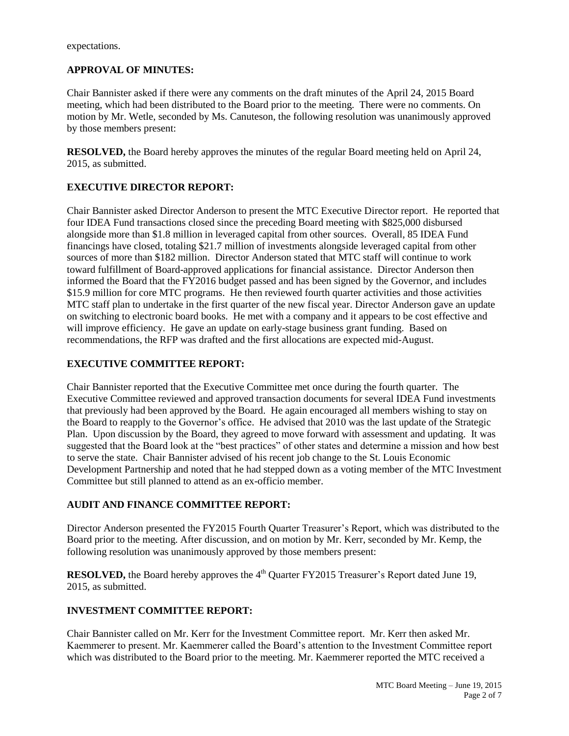expectations.

### **APPROVAL OF MINUTES:**

Chair Bannister asked if there were any comments on the draft minutes of the April 24, 2015 Board meeting, which had been distributed to the Board prior to the meeting. There were no comments. On motion by Mr. Wetle, seconded by Ms. Canuteson, the following resolution was unanimously approved by those members present:

**RESOLVED,** the Board hereby approves the minutes of the regular Board meeting held on April 24, 2015, as submitted.

### **EXECUTIVE DIRECTOR REPORT:**

Chair Bannister asked Director Anderson to present the MTC Executive Director report. He reported that four IDEA Fund transactions closed since the preceding Board meeting with \$825,000 disbursed alongside more than \$1.8 million in leveraged capital from other sources. Overall, 85 IDEA Fund financings have closed, totaling \$21.7 million of investments alongside leveraged capital from other sources of more than \$182 million. Director Anderson stated that MTC staff will continue to work toward fulfillment of Board-approved applications for financial assistance. Director Anderson then informed the Board that the FY2016 budget passed and has been signed by the Governor, and includes \$15.9 million for core MTC programs. He then reviewed fourth quarter activities and those activities MTC staff plan to undertake in the first quarter of the new fiscal year. Director Anderson gave an update on switching to electronic board books. He met with a company and it appears to be cost effective and will improve efficiency. He gave an update on early-stage business grant funding. Based on recommendations, the RFP was drafted and the first allocations are expected mid-August.

### **EXECUTIVE COMMITTEE REPORT:**

Chair Bannister reported that the Executive Committee met once during the fourth quarter. The Executive Committee reviewed and approved transaction documents for several IDEA Fund investments that previously had been approved by the Board. He again encouraged all members wishing to stay on the Board to reapply to the Governor's office. He advised that 2010 was the last update of the Strategic Plan. Upon discussion by the Board, they agreed to move forward with assessment and updating. It was suggested that the Board look at the "best practices" of other states and determine a mission and how best to serve the state. Chair Bannister advised of his recent job change to the St. Louis Economic Development Partnership and noted that he had stepped down as a voting member of the MTC Investment Committee but still planned to attend as an ex-officio member.

### **AUDIT AND FINANCE COMMITTEE REPORT:**

Director Anderson presented the FY2015 Fourth Quarter Treasurer's Report, which was distributed to the Board prior to the meeting. After discussion, and on motion by Mr. Kerr, seconded by Mr. Kemp, the following resolution was unanimously approved by those members present:

**RESOLVED,** the Board hereby approves the 4<sup>th</sup> Quarter FY2015 Treasurer's Report dated June 19, 2015, as submitted.

## **INVESTMENT COMMITTEE REPORT:**

Chair Bannister called on Mr. Kerr for the Investment Committee report. Mr. Kerr then asked Mr. Kaemmerer to present. Mr. Kaemmerer called the Board's attention to the Investment Committee report which was distributed to the Board prior to the meeting. Mr. Kaemmerer reported the MTC received a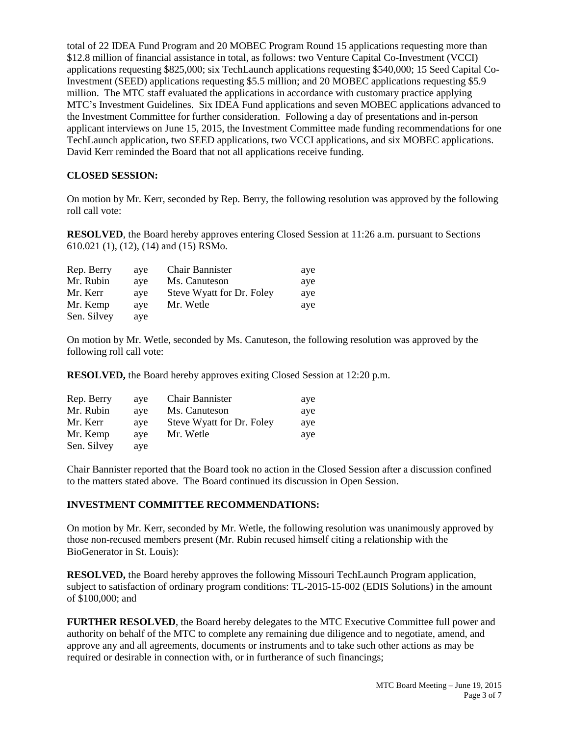total of 22 IDEA Fund Program and 20 MOBEC Program Round 15 applications requesting more than \$12.8 million of financial assistance in total, as follows: two Venture Capital Co-Investment (VCCI) applications requesting \$825,000; six TechLaunch applications requesting \$540,000; 15 Seed Capital Co-Investment (SEED) applications requesting \$5.5 million; and 20 MOBEC applications requesting \$5.9 million. The MTC staff evaluated the applications in accordance with customary practice applying MTC's Investment Guidelines. Six IDEA Fund applications and seven MOBEC applications advanced to the Investment Committee for further consideration. Following a day of presentations and in-person applicant interviews on June 15, 2015, the Investment Committee made funding recommendations for one TechLaunch application, two SEED applications, two VCCI applications, and six MOBEC applications. David Kerr reminded the Board that not all applications receive funding.

## **CLOSED SESSION:**

On motion by Mr. Kerr, seconded by Rep. Berry, the following resolution was approved by the following roll call vote:

**RESOLVED**, the Board hereby approves entering Closed Session at 11:26 a.m. pursuant to Sections 610.021 (1), (12), (14) and (15) RSMo.

| Rep. Berry  | aye | <b>Chair Bannister</b>    | aye |
|-------------|-----|---------------------------|-----|
| Mr. Rubin   | ave | Ms. Canuteson             | aye |
| Mr. Kerr    | ave | Steve Wyatt for Dr. Foley | aye |
| Mr. Kemp    | ave | Mr. Wetle                 | ave |
| Sen. Silvey | aye |                           |     |

On motion by Mr. Wetle, seconded by Ms. Canuteson, the following resolution was approved by the following roll call vote:

**RESOLVED,** the Board hereby approves exiting Closed Session at 12:20 p.m.

| Rep. Berry  | ave | <b>Chair Bannister</b>    | aye |
|-------------|-----|---------------------------|-----|
| Mr. Rubin   | ave | Ms. Canuteson             | aye |
| Mr. Kerr    | ave | Steve Wyatt for Dr. Foley | ave |
| Mr. Kemp    | ave | Mr. Wetle                 | aye |
| Sen. Silvey | aye |                           |     |

Chair Bannister reported that the Board took no action in the Closed Session after a discussion confined to the matters stated above. The Board continued its discussion in Open Session.

### **INVESTMENT COMMITTEE RECOMMENDATIONS:**

On motion by Mr. Kerr, seconded by Mr. Wetle, the following resolution was unanimously approved by those non-recused members present (Mr. Rubin recused himself citing a relationship with the BioGenerator in St. Louis):

**RESOLVED,** the Board hereby approves the following Missouri TechLaunch Program application, subject to satisfaction of ordinary program conditions: TL-2015-15-002 (EDIS Solutions) in the amount of \$100,000; and

**FURTHER RESOLVED**, the Board hereby delegates to the MTC Executive Committee full power and authority on behalf of the MTC to complete any remaining due diligence and to negotiate, amend, and approve any and all agreements, documents or instruments and to take such other actions as may be required or desirable in connection with, or in furtherance of such financings;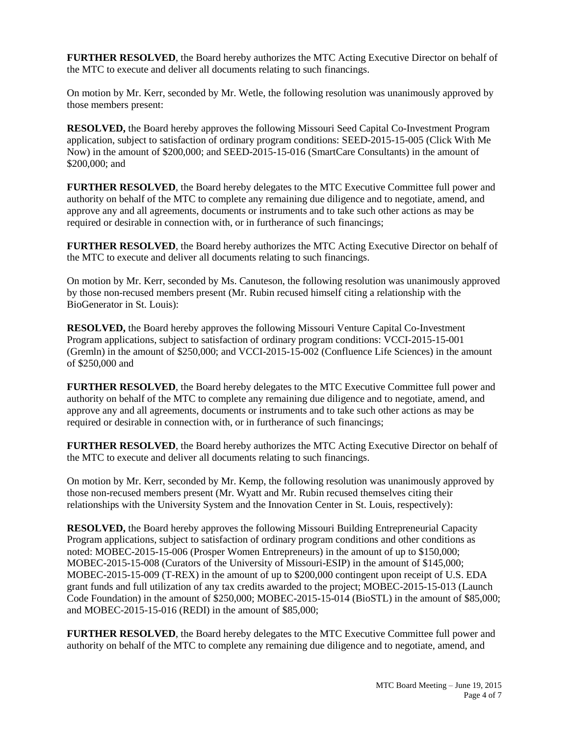**FURTHER RESOLVED**, the Board hereby authorizes the MTC Acting Executive Director on behalf of the MTC to execute and deliver all documents relating to such financings.

On motion by Mr. Kerr, seconded by Mr. Wetle, the following resolution was unanimously approved by those members present:

**RESOLVED,** the Board hereby approves the following Missouri Seed Capital Co-Investment Program application, subject to satisfaction of ordinary program conditions: SEED-2015-15-005 (Click With Me Now) in the amount of \$200,000; and SEED-2015-15-016 (SmartCare Consultants) in the amount of \$200,000; and

**FURTHER RESOLVED, the Board hereby delegates to the MTC Executive Committee full power and** authority on behalf of the MTC to complete any remaining due diligence and to negotiate, amend, and approve any and all agreements, documents or instruments and to take such other actions as may be required or desirable in connection with, or in furtherance of such financings;

**FURTHER RESOLVED**, the Board hereby authorizes the MTC Acting Executive Director on behalf of the MTC to execute and deliver all documents relating to such financings.

On motion by Mr. Kerr, seconded by Ms. Canuteson, the following resolution was unanimously approved by those non-recused members present (Mr. Rubin recused himself citing a relationship with the BioGenerator in St. Louis):

**RESOLVED,** the Board hereby approves the following Missouri Venture Capital Co-Investment Program applications, subject to satisfaction of ordinary program conditions: VCCI-2015-15-001 (Gremln) in the amount of \$250,000; and VCCI-2015-15-002 (Confluence Life Sciences) in the amount of \$250,000 and

**FURTHER RESOLVED**, the Board hereby delegates to the MTC Executive Committee full power and authority on behalf of the MTC to complete any remaining due diligence and to negotiate, amend, and approve any and all agreements, documents or instruments and to take such other actions as may be required or desirable in connection with, or in furtherance of such financings;

**FURTHER RESOLVED**, the Board hereby authorizes the MTC Acting Executive Director on behalf of the MTC to execute and deliver all documents relating to such financings.

On motion by Mr. Kerr, seconded by Mr. Kemp, the following resolution was unanimously approved by those non-recused members present (Mr. Wyatt and Mr. Rubin recused themselves citing their relationships with the University System and the Innovation Center in St. Louis, respectively):

**RESOLVED,** the Board hereby approves the following Missouri Building Entrepreneurial Capacity Program applications, subject to satisfaction of ordinary program conditions and other conditions as noted: MOBEC-2015-15-006 (Prosper Women Entrepreneurs) in the amount of up to \$150,000; MOBEC-2015-15-008 (Curators of the University of Missouri-ESIP) in the amount of \$145,000; MOBEC-2015-15-009 (T-REX) in the amount of up to \$200,000 contingent upon receipt of U.S. EDA grant funds and full utilization of any tax credits awarded to the project; MOBEC-2015-15-013 (Launch Code Foundation) in the amount of \$250,000; MOBEC-2015-15-014 (BioSTL) in the amount of \$85,000; and MOBEC-2015-15-016 (REDI) in the amount of \$85,000;

**FURTHER RESOLVED**, the Board hereby delegates to the MTC Executive Committee full power and authority on behalf of the MTC to complete any remaining due diligence and to negotiate, amend, and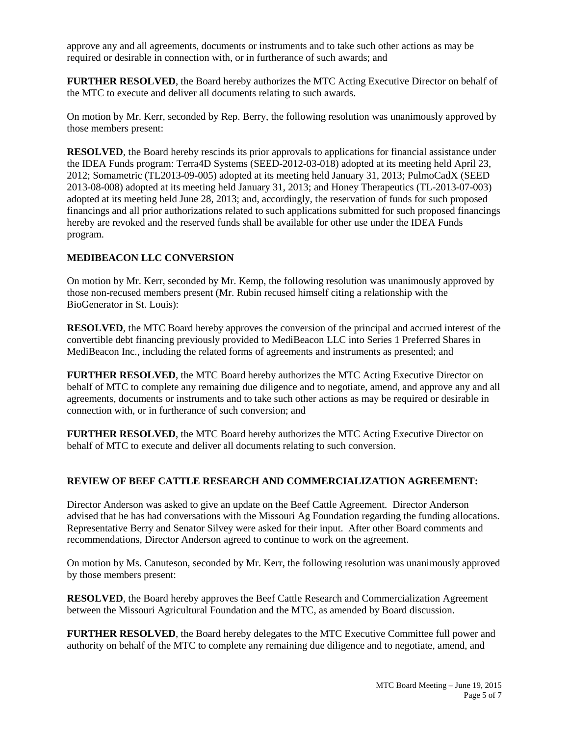approve any and all agreements, documents or instruments and to take such other actions as may be required or desirable in connection with, or in furtherance of such awards; and

**FURTHER RESOLVED**, the Board hereby authorizes the MTC Acting Executive Director on behalf of the MTC to execute and deliver all documents relating to such awards.

On motion by Mr. Kerr, seconded by Rep. Berry, the following resolution was unanimously approved by those members present:

**RESOLVED**, the Board hereby rescinds its prior approvals to applications for financial assistance under the IDEA Funds program: Terra4D Systems (SEED-2012-03-018) adopted at its meeting held April 23, 2012; Somametric (TL2013-09-005) adopted at its meeting held January 31, 2013; PulmoCadX (SEED 2013-08-008) adopted at its meeting held January 31, 2013; and Honey Therapeutics (TL-2013-07-003) adopted at its meeting held June 28, 2013; and, accordingly, the reservation of funds for such proposed financings and all prior authorizations related to such applications submitted for such proposed financings hereby are revoked and the reserved funds shall be available for other use under the IDEA Funds program.

## **MEDIBEACON LLC CONVERSION**

On motion by Mr. Kerr, seconded by Mr. Kemp, the following resolution was unanimously approved by those non-recused members present (Mr. Rubin recused himself citing a relationship with the BioGenerator in St. Louis):

**RESOLVED**, the MTC Board hereby approves the conversion of the principal and accrued interest of the convertible debt financing previously provided to MediBeacon LLC into Series 1 Preferred Shares in MediBeacon Inc., including the related forms of agreements and instruments as presented; and

**FURTHER RESOLVED**, the MTC Board hereby authorizes the MTC Acting Executive Director on behalf of MTC to complete any remaining due diligence and to negotiate, amend, and approve any and all agreements, documents or instruments and to take such other actions as may be required or desirable in connection with, or in furtherance of such conversion; and

**FURTHER RESOLVED**, the MTC Board hereby authorizes the MTC Acting Executive Director on behalf of MTC to execute and deliver all documents relating to such conversion.

## **REVIEW OF BEEF CATTLE RESEARCH AND COMMERCIALIZATION AGREEMENT:**

Director Anderson was asked to give an update on the Beef Cattle Agreement. Director Anderson advised that he has had conversations with the Missouri Ag Foundation regarding the funding allocations. Representative Berry and Senator Silvey were asked for their input. After other Board comments and recommendations, Director Anderson agreed to continue to work on the agreement.

On motion by Ms. Canuteson, seconded by Mr. Kerr, the following resolution was unanimously approved by those members present:

**RESOLVED**, the Board hereby approves the Beef Cattle Research and Commercialization Agreement between the Missouri Agricultural Foundation and the MTC, as amended by Board discussion.

**FURTHER RESOLVED**, the Board hereby delegates to the MTC Executive Committee full power and authority on behalf of the MTC to complete any remaining due diligence and to negotiate, amend, and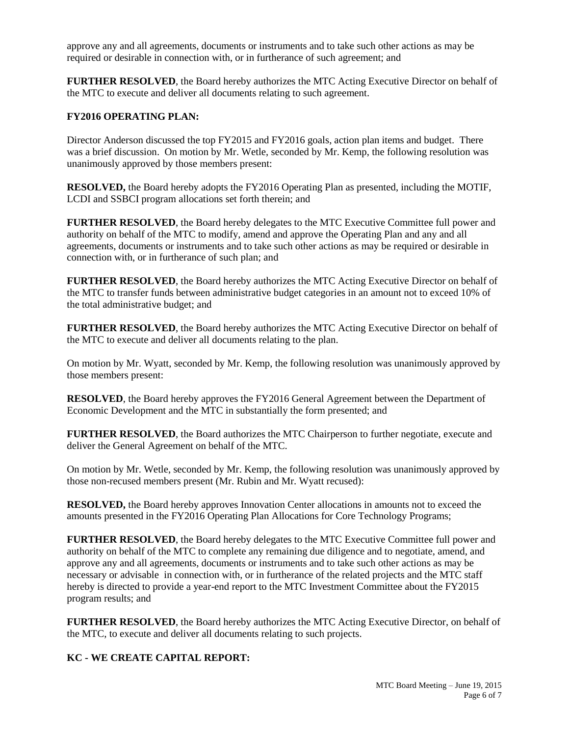approve any and all agreements, documents or instruments and to take such other actions as may be required or desirable in connection with, or in furtherance of such agreement; and

**FURTHER RESOLVED**, the Board hereby authorizes the MTC Acting Executive Director on behalf of the MTC to execute and deliver all documents relating to such agreement.

#### **FY2016 OPERATING PLAN:**

Director Anderson discussed the top FY2015 and FY2016 goals, action plan items and budget. There was a brief discussion. On motion by Mr. Wetle, seconded by Mr. Kemp, the following resolution was unanimously approved by those members present:

**RESOLVED,** the Board hereby adopts the FY2016 Operating Plan as presented, including the MOTIF, LCDI and SSBCI program allocations set forth therein; and

**FURTHER RESOLVED**, the Board hereby delegates to the MTC Executive Committee full power and authority on behalf of the MTC to modify, amend and approve the Operating Plan and any and all agreements, documents or instruments and to take such other actions as may be required or desirable in connection with, or in furtherance of such plan; and

**FURTHER RESOLVED**, the Board hereby authorizes the MTC Acting Executive Director on behalf of the MTC to transfer funds between administrative budget categories in an amount not to exceed 10% of the total administrative budget; and

**FURTHER RESOLVED**, the Board hereby authorizes the MTC Acting Executive Director on behalf of the MTC to execute and deliver all documents relating to the plan.

On motion by Mr. Wyatt, seconded by Mr. Kemp, the following resolution was unanimously approved by those members present:

**RESOLVED**, the Board hereby approves the FY2016 General Agreement between the Department of Economic Development and the MTC in substantially the form presented; and

**FURTHER RESOLVED**, the Board authorizes the MTC Chairperson to further negotiate, execute and deliver the General Agreement on behalf of the MTC.

On motion by Mr. Wetle, seconded by Mr. Kemp, the following resolution was unanimously approved by those non-recused members present (Mr. Rubin and Mr. Wyatt recused):

**RESOLVED,** the Board hereby approves Innovation Center allocations in amounts not to exceed the amounts presented in the FY2016 Operating Plan Allocations for Core Technology Programs;

**FURTHER RESOLVED**, the Board hereby delegates to the MTC Executive Committee full power and authority on behalf of the MTC to complete any remaining due diligence and to negotiate, amend, and approve any and all agreements, documents or instruments and to take such other actions as may be necessary or advisable in connection with, or in furtherance of the related projects and the MTC staff hereby is directed to provide a year-end report to the MTC Investment Committee about the FY2015 program results; and

**FURTHER RESOLVED**, the Board hereby authorizes the MTC Acting Executive Director, on behalf of the MTC, to execute and deliver all documents relating to such projects.

### **KC - WE CREATE CAPITAL REPORT:**